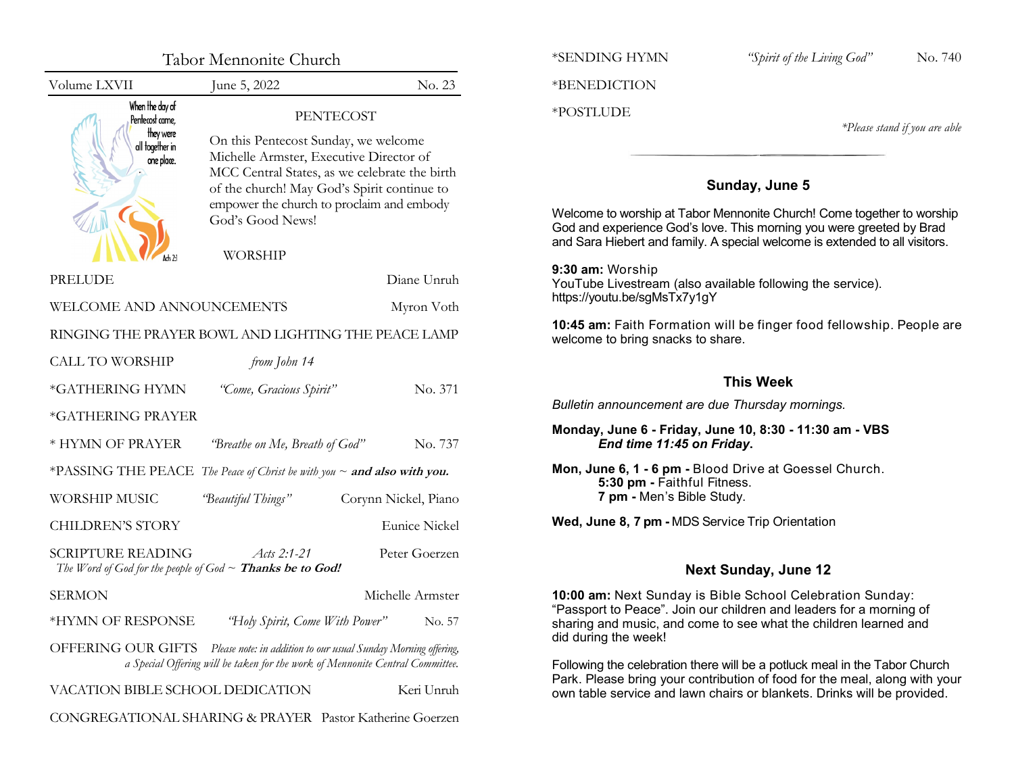| Tabor Mennonite Church                                                               |                                                                                                                                                                                                                                                                                        |                      | *SEN                             |
|--------------------------------------------------------------------------------------|----------------------------------------------------------------------------------------------------------------------------------------------------------------------------------------------------------------------------------------------------------------------------------------|----------------------|----------------------------------|
| Volume LXVII                                                                         | June 5, 2022                                                                                                                                                                                                                                                                           | No. 23               | *BEN                             |
| When the day of<br>Pentecost came,<br>they were<br>all together in<br>one place.     | <b>PENTECOST</b><br>On this Pentecost Sunday, we welcome<br>Michelle Armster, Executive Director of<br>MCC Central States, as we celebrate the birth<br>of the church! May God's Spirit continue to<br>empower the church to proclaim and embody<br>God's Good News!<br><b>WORSHIP</b> |                      | $*PO5$<br>Welc<br>God a<br>and S |
| PRELUDE                                                                              |                                                                                                                                                                                                                                                                                        | Diane Unruh          | 9:30<br>YouT                     |
| WELCOME AND ANNOUNCEMENTS<br>Myron Voth                                              |                                                                                                                                                                                                                                                                                        | https:               |                                  |
| RINGING THE PRAYER BOWL AND LIGHTING THE PEACE LAMP                                  |                                                                                                                                                                                                                                                                                        |                      | 10:45<br>welco                   |
| <b>CALL TO WORSHIP</b>                                                               | from John 14                                                                                                                                                                                                                                                                           |                      |                                  |
| *GATHERING HYMN                                                                      | "Come, Gracious Spirit"                                                                                                                                                                                                                                                                | No. 371              |                                  |
| *GATHERING PRAYER                                                                    |                                                                                                                                                                                                                                                                                        |                      | <b>Bulle</b>                     |
| * HYMN OF PRAYER                                                                     | "Breathe on Me, Breath of God"                                                                                                                                                                                                                                                         | No. 737              | Mon                              |
| *PASSING THE PEACE The Peace of Christ be with you ~ and also with you.              |                                                                                                                                                                                                                                                                                        |                      | Mon,                             |
| <b>WORSHIP MUSIC</b>                                                                 | "Beautiful Things"                                                                                                                                                                                                                                                                     | Corynn Nickel, Piano |                                  |
| <b>CHILDREN'S STORY</b>                                                              |                                                                                                                                                                                                                                                                                        | <b>Eunice Nickel</b> | Wed,                             |
| <b>SCRIPTURE READING</b>                                                             | Acts $2:1-21$<br>The Word of God for the people of God $\sim$ Thanks be to God!                                                                                                                                                                                                        | Peter Goerzen        |                                  |
| <b>SERMON</b>                                                                        |                                                                                                                                                                                                                                                                                        | Michelle Armster     | 10:00                            |
| *HYMN OF RESPONSE                                                                    | "Holy Spirit, Come With Power"                                                                                                                                                                                                                                                         | No. 57               | "Pass<br>shari                   |
| OFFERING OUR GIFTS<br>Please note: in addition to our usual Sunday Morning offering, |                                                                                                                                                                                                                                                                                        |                      | did d                            |
| a Special Offering will be taken for the work of Mennonite Central Committee.        |                                                                                                                                                                                                                                                                                        |                      | <b>Folloy</b><br>Park.           |
| VACATION BIBLE SCHOOL DEDICATION                                                     |                                                                                                                                                                                                                                                                                        | Keri Unruh           | own t                            |
|                                                                                      | CONGREGATIONAL SHARING & PRAYER Pastor Katherine Goerzen                                                                                                                                                                                                                               |                      |                                  |

\*SENDING HYMN *"Spirit of the Living God"* No. 740

NEDICTION

## **STLUDE**

*\*Please stand if you are able*

# **Sunday, June 5**

ome to worship at Tabor Mennonite Church! Come together to worship and experience God's love. This morning you were greeted by Brad Sara Hiebert and family. A special welcome is extended to all visitors.

**am:** Worship Tube Livestream (also available following the service). ://youtu.be/sgMsTx7y1gY

**5 am:** Faith Formation will be finger food fellowship. People are ome to bring snacks to share.

# **This Week**

*Bulletin announcement are due Thursday mornings.*

**Monday, June 6 - Friday, June 10, 8:30 - 11:30 am - VBS** *End time 11:45 on Friday***.**

**Wed, June 8, 7 pm -** MDS Service Trip Orientation

# **Next Sunday, June 12**

**0 am:** Next Sunday is Bible School Celebration Sunday: sport to Peace". Join our children and leaders for a morning of ng and music, and come to see what the children learned and uring the week!

wing the celebration there will be a potluck meal in the Tabor Church Please bring your contribution of food for the meal, along with your table service and lawn chairs or blankets. Drinks will be provided.

**Mon, June 6, 1 - 6 pm -** Blood Drive at Goessel Church. **5:30 pm -** Faithful Fitness. **7 pm -** Men's Bible Study.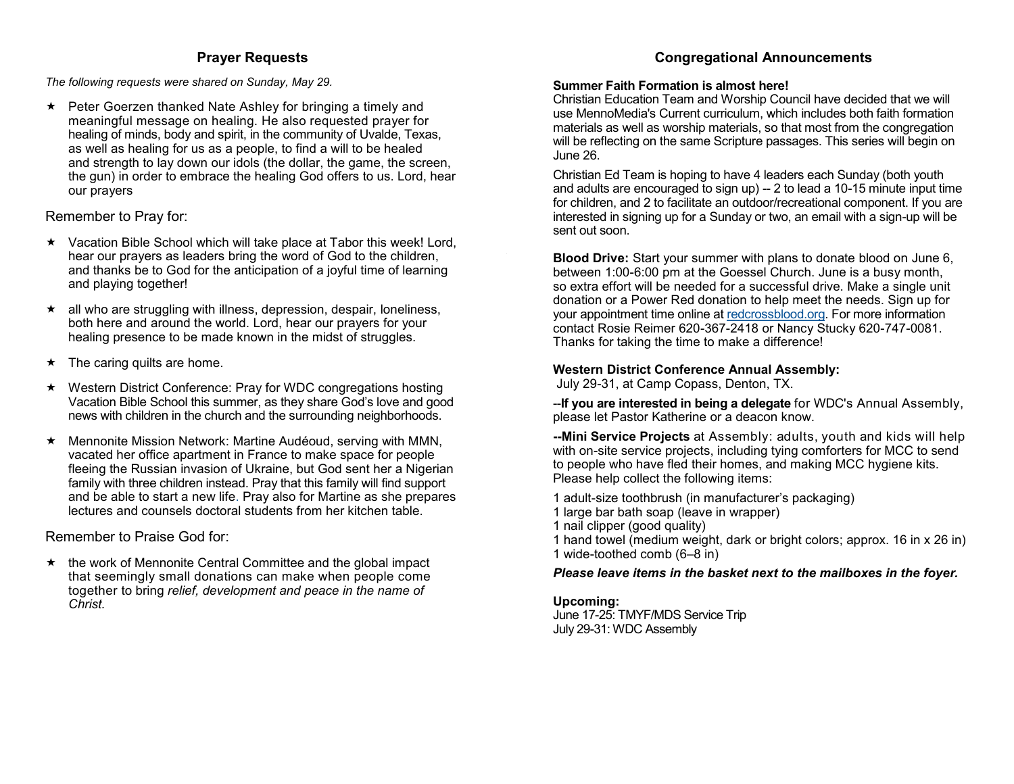## **Prayer Requests**

#### <span id="page-1-0"></span>*The following requests were shared on Sunday, May 29.*

 $\star$  Peter Goerzen thanked Nate Ashley for bringing a timely and meaningful message on healing. He also requested prayer for healing of minds, body and spirit, in the community of Uvalde, Texas, as well as healing for us as a people, to find a will to be healed and strength to lay down our idols (the dollar, the game, the screen, the gun) in order to embrace the healing God offers to us. Lord, hear our prayers

## Remember to Pray for:

- $\star$  Vacation Bible School which will take place at Tabor this week! Lord, hear our prayers as leaders bring the word of God to the children, and thanks be to God for the anticipation of a joyful time of learning and playing together!
- $\star$  all who are struggling with illness, depression, despair, loneliness, both here and around the world. Lord, hear our prayers for your healing presence to be made known in the midst of struggles.
- $\star$  The caring quilts are home.
- Western District Conference: Pray for WDC congregations hosting Vacation Bible School this summer, as they share God's love and good news with children in the church and the surrounding neighborhoods.
- Mennonite Mission Network: Martine Audéoud, serving with MMN, vacated her office apartment in France to make space for people fleeing the Russian invasion of Ukraine, but God sent her a Nigerian family with three children instead. Pray that this family will find support and be able to start a new life. Pray also for Martine as she prepares lectures and counsels doctoral students from her kitchen table.

Remember to Praise God for:

 $\star$  the work of Mennonite Central Committee and the global impact that seemingly small donations can make when people come together to bring *relief, development and peace in the name of Christ.*

# **Congregational Announcements**

### **Summer Faith Formation is almost here!**

Christian Education Team and Worship Council have decided that we will use MennoMedia's Current curriculum, which includes both faith formation materials as well as worship materials, so that most from the congregation will be reflecting on the same Scripture passages. This series will begin on June 26.

Christian Ed Team is hoping to have 4 leaders each Sunday (both youth and adults are encouraged to sign up) -- 2 to lead a 10-15 minute input time for children, and 2 to facilitate an outdoor/recreational component. If you are interested in signing up for a Sunday or two, an email with a sign-up will be sent out soon.

**Blood Drive:** Start your summer with plans to donate blood on June 6, between 1:00-6:00 pm at the Goessel Church. June is a busy month, so extra effort will be needed for a successful drive. Make a single unit donation or a Power Red donation to help meet the needs. Sign up for your appointment time online at [redcrossblood.org.](#page-1-0) For more information contact Rosie Reimer 620-367-2418 or Nancy Stucky 620-747-0081. Thanks for taking the time to make a difference!

## **Western District Conference Annual Assembly:**

July 29-31, at Camp Copass, Denton, TX.

--**If you are interested in being a delegate** for WDC's Annual Assembly, please let Pastor Katherine or a deacon know.

**--Mini Service Projects** at Assembly: adults, youth and kids will help with on-site service projects, including tying comforters for MCC to send to people who have fled their homes, and making MCC hygiene kits. Please help collect the following items:

- 1 adult-size toothbrush (in manufacturer's packaging)
- 1 large bar bath soap (leave in wrapper)
- 1 nail clipper (good quality)
- 1 hand towel (medium weight, dark or bright colors; approx. 16 in x 26 in) 1 wide-toothed comb (6–8 in)

## *Please leave items in the basket next to the mailboxes in the foyer.*

## **Upcoming:**

June 17-25: TMYF/MDS Service Trip July 29-31: WDC Assembly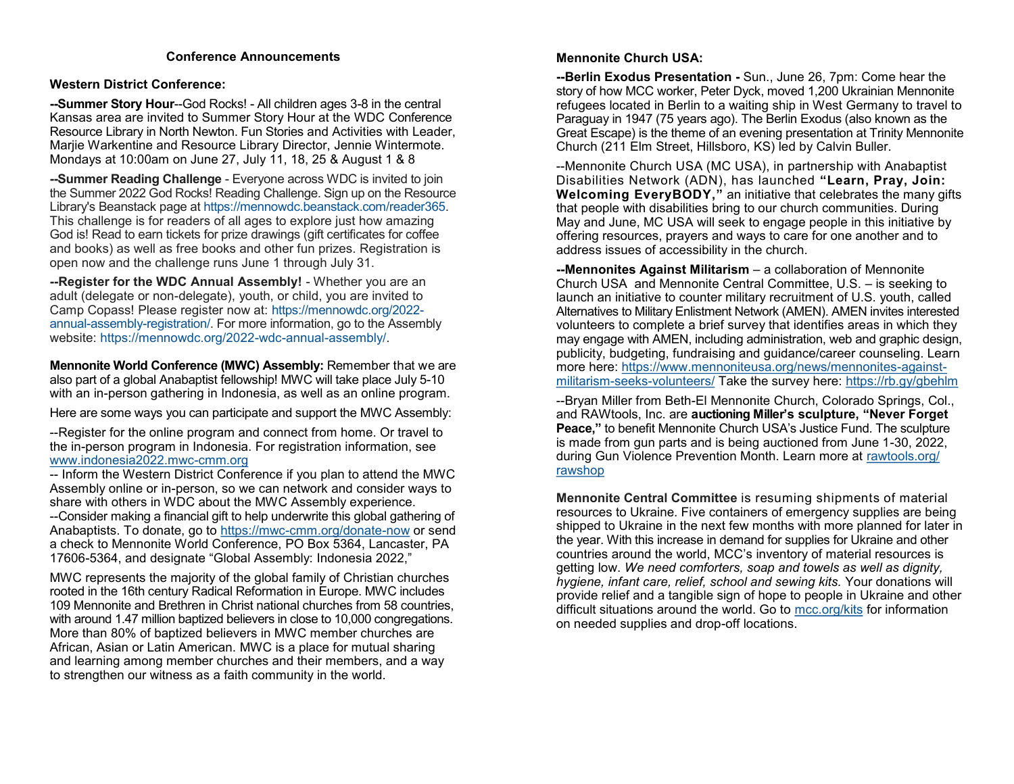## **Conference Announcements**

## <span id="page-2-0"></span>**Western District Conference:**

**--Summer Story Hour**--God Rocks! - All children ages 3-8 in the central Kansas area are invited to Summer Story Hour at the WDC Conference Resource Library in North Newton. Fun Stories and Activities with Leader, Marjie Warkentine and Resource Library Director, Jennie Wintermote. Mondays at 10:00am on June 27, July 11, 18, 25 & August 1 & 8

**--Summer Reading Challenge** - Everyone across WDC is invited to join the Summer 2022 God Rocks! Reading Challenge. Sign up on the Resource Library's Beanstack page at [https://mennowdc.beanstack.com/reader365.](https://mennowdc.us5.list-manage.com/track/click?u=3915f468965d9af14d0f614cb&id=7919616dc6&e=58169205e4) This challenge is for readers of all ages to explore just how amazing God is! Read to earn tickets for prize drawings (gift certificates for coffee and books) as well as free books and other fun prizes. Registration is open now and the challenge runs June 1 through July 31.

**--Register for the WDC Annual Assembly!** - Whether you are an adult (delegate or non-delegate), youth, or child, you are invited to Camp Copass! Please register now at: [https://mennowdc.org/2022](https://mennowdc.us5.list-manage.com/track/click?u=3915f468965d9af14d0f614cb&id=87a046ad35&e=58169205e4) annual-assembly-[registration/.](https://mennowdc.us5.list-manage.com/track/click?u=3915f468965d9af14d0f614cb&id=87a046ad35&e=58169205e4) For more information, go to the Assembly website: [https://mennowdc.org/2022](https://mennowdc.us5.list-manage.com/track/click?u=3915f468965d9af14d0f614cb&id=cc6a3e6264&e=58169205e4)-wdc-annual-assembly/.

**Mennonite World Conference (MWC) Assembly:** Remember that we are also part of a global Anabaptist fellowship! MWC will take place July 5-10 with an in-person gathering in Indonesia, as well as an online program.

Here are some ways you can participate and support the MWC Assembly:

--Register for the online program and connect from home. Or travel to the in-person program in Indonesia. For registration information, see [www.indonesia2022.mwc](http://www.indonesia2022.mwc-cmm.org/)-cmm.org

-- Inform the Western District Conference if you plan to attend the MWC Assembly online or in-person, so we can network and consider ways to share with others in WDC about the MWC Assembly experience. --Consider making a financial gift to help underwrite this global gathering of Anabaptists. To donate, go to https://mwc-[cmm.org/donate](https://mwc-cmm.org/donate-now)-now or send a check to Mennonite World Conference, PO Box 5364, Lancaster, PA 17606-5364, and designate "Global Assembly: Indonesia 2022,"

MWC represents the majority of the global family of Christian churches rooted in the 16th century Radical Reformation in Europe. MWC includes 109 Mennonite and Brethren in Christ national churches from 58 countries, with around 1.47 million baptized believers in close to 10,000 congregations. More than 80% of baptized believers in MWC member churches are African, Asian or Latin American. MWC is a place for mutual sharing and learning among member churches and their members, and a way to strengthen our witness as a faith community in the world.

## **Mennonite Church USA:**

**--Berlin Exodus Presentation -** Sun., June 26, 7pm: Come hear the story of how MCC worker, Peter Dyck, moved 1,200 Ukrainian Mennonite refugees located in Berlin to a waiting ship in West Germany to travel to Paraguay in 1947 (75 years ago). The Berlin Exodus (also known as the Great Escape) is the theme of an evening presentation at Trinity Mennonite Church (211 Elm Street, Hillsboro, KS) led by Calvin Buller.

--Mennonite Church USA (MC USA), in partnership with Anabaptist Disabilities Network (ADN), has launched **"Learn, Pray, Join: Welcoming EveryBODY,"** an initiative that celebrates the many gifts that people with disabilities bring to our church communities. During May and June, MC USA will seek to engage people in this initiative by offering resources, prayers and ways to care for one another and to address issues of accessibility in the church.

**--Mennonites Against Militarism** – a collaboration of Mennonite Church USA and Mennonite Central Committee, U.S. – is seeking to launch an initiative to counter military recruitment of U.S. youth, called Alternatives to Military Enlistment Network (AMEN). AMEN invites interested volunteers to complete a brief survey that identifies areas in which they may engage with AMEN, including administration, web and graphic design, publicity, budgeting, fundraising and guidance/career counseling. Learn more here: [https://www.mennoniteusa.org/news/mennonites](https://mennoniteusa.us1.list-manage.com/track/click?u=97f16d9c230780d6354d01572&id=c5feef0534&e=b54bf101f8)-againstmilitarism-seeks-[volunteers/](https://mennoniteusa.us1.list-manage.com/track/click?u=97f16d9c230780d6354d01572&id=c5feef0534&e=b54bf101f8) Take the survey here: [https://rb.gy/gbehlm](https://mennoniteusa.us1.list-manage.com/track/click?u=97f16d9c230780d6354d01572&id=a4f97c81fc&e=b54bf101f8)

--Bryan Miller from Beth-El Mennonite Church, Colorado Springs, Col., and RAWtools, Inc. are **auctioning Miller's sculpture, "Never Forget Peace,"** to benefit Mennonite Church USA's Justice Fund. The sculpture is made from gun parts and is being auctioned from June 1-30, 2022, during Gun Violence Prevention Month. Learn more at [rawtools.org/](https://mennoniteusa.us1.list-manage.com/track/click?u=97f16d9c230780d6354d01572&id=c8bf161cb3&e=b54bf101f8) [rawshop](https://mennoniteusa.us1.list-manage.com/track/click?u=97f16d9c230780d6354d01572&id=c8bf161cb3&e=b54bf101f8)

**Mennonite Central Committee** is resuming shipments of material resources to Ukraine. Five containers of emergency supplies are being shipped to Ukraine in the next few months with more planned for later in the year. With this increase in demand for supplies for Ukraine and other countries around the world, MCC's inventory of material resources is getting low. *We need comforters, soap and towels as well as dignity, hygiene, infant care, relief, school and sewing kits.* Your donations will provide relief and a tangible sign of hope to people in Ukraine and other difficult situations around the world. Go to [mcc.org/kits](https://mcc.org/get-involved/kits) for information on needed supplies and drop-off locations.